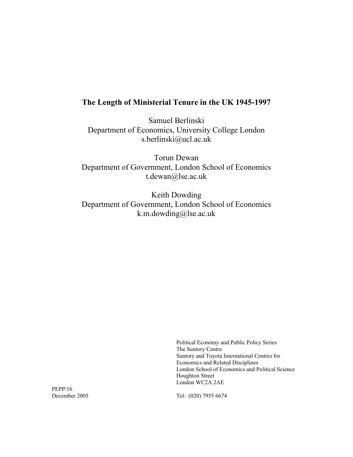# **The Length of Ministerial Tenure in the UK 1945-1997**

Samuel Berlinski Department of Economics, University College London s.berlinski@ucl.ac.uk

Torun Dewan Department of Government, London School of Economics t.dewan@lse.ac.uk

Keith Dowding Department of Government, London School of Economics k.m.dowding@lse.ac.uk

> Political Economy and Public Policy Series The Suntory Centre Suntory and Toyota International Centres for Economics and Related Disciplines London School of Economics and Political Science Houghton Street London WC2A 2AE

PEPP/16

December 2005 Tel: (020) 7955 6674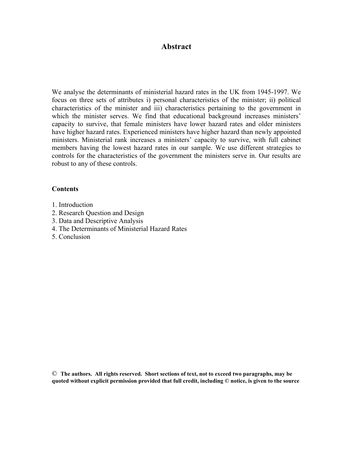## **Abstract**

We analyse the determinants of ministerial hazard rates in the UK from 1945-1997. We focus on three sets of attributes i) personal characteristics of the minister; ii) political characteristics of the minister and iii) characteristics pertaining to the government in which the minister serves. We find that educational background increases ministers' capacity to survive, that female ministers have lower hazard rates and older ministers have higher hazard rates. Experienced ministers have higher hazard than newly appointed ministers. Ministerial rank increases a ministers' capacity to survive, with full cabinet members having the lowest hazard rates in our sample. We use different strategies to controls for the characteristics of the government the ministers serve in. Our results are robust to any of these controls.

#### **Contents**

- 1. Introduction
- 2. Research Question and Design
- 3. Data and Descriptive Analysis
- 4. The Determinants of Ministerial Hazard Rates
- 5. Conclusion

© **The authors. All rights reserved. Short sections of text, not to exceed two paragraphs, may be quoted without explicit permission provided that full credit, including © notice, is given to the source**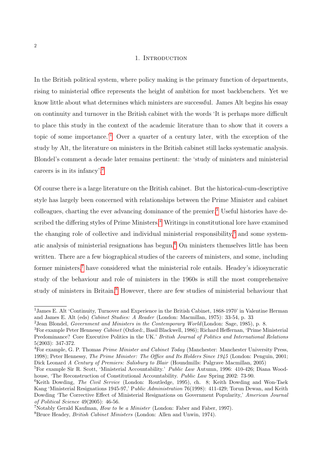#### 1. INTRODUCTION

In the British political system, where policy making is the primary function of departments, rising to ministerial office represents the height of ambition for most backbenchers. Yet we know little about what determines which ministers are successful. James Alt begins his essay on continuity and turnover in the British cabinet with the words 'It is perhaps more difficult to place this study in the context of the academic literature than to show that it covers a topic of some importance.'[1](#page-2-0) Over a quarter of a century later, with the exception of the study by Alt, the literature on ministers in the British cabinet still lacks systematic analysis. Blondel's comment a decade later remains pertinent: the 'study of ministers and ministerial careers is in its infancy'.[2](#page-2-1)

Of course there is a large literature on the British cabinet. But the historical-cum-descriptive style has largely been concerned with relationships between the Prime Minister and cabinet colleagues, charting the ever advancing dominance of the premier.<sup>[3](#page-2-2)</sup> Useful histories have de-scribed the differing styles of Prime Ministers.<sup>[4](#page-2-3)</sup> Writings in constitutional lore have examined the changing role of collective and individual ministerial responsibility,<sup>[5](#page-2-4)</sup> and some system-atic analysis of ministerial resignations has begun.<sup>[6](#page-2-5)</sup> On ministers themselves little has been written. There are a few biographical studies of the careers of ministers, and some, including former ministers,<sup>[7](#page-2-6)</sup> have considered what the ministerial role entails. Headey's idiosyncratic study of the behaviour and role of ministers in the 1960s is still the most comprehensive study of ministers in Britain.<sup>[8](#page-2-7)</sup> However, there are few studies of ministerial behaviour that

<span id="page-2-0"></span><sup>&</sup>lt;sup>1</sup>James E. Alt 'Continuity, Turnover and Experience in the British Cabinet, 1868-1970' in Valentine Herman and James E. Alt (eds) Cabinet Studies: A Reader (London: Macmillan, 1975): 33-54, p. 33

<span id="page-2-1"></span><sup>&</sup>lt;sup>2</sup> Jean Blondel, *Government and Ministers in the Contemporary World* (London: Sage, 1985), p. 8.

<span id="page-2-2"></span> ${}^{3}$ For example Peter Hennessy Cabinet (Oxford:, Basil Blackwell, 1986); Richard Heffernan, 'Prime Ministerial Predominance? Core Executive Politics in the UK.' British Journal of Politics and International Relations 5(2003): 347-372.

<span id="page-2-3"></span> ${}^{4}$ For example, G. P. Thomas *Prime Minister and Cabinet Today* (Manchester: Manchester University Press, 1998); Peter Hennessy, The Prime Minister: The Office and Its Holders Since 1945 (London: Penguin, 2001; Dick Leonard A Century of Premiers: Salisbury to Blair (Houndmills: Palgrave Macmillan, 2005)

<span id="page-2-4"></span><sup>&</sup>lt;sup>5</sup>For example Sir R. Scott, 'Ministerial Accountability.' *Public Law* Autumn, 1996: 410-426; Diana Woodhouse, 'The Reconstruction of Constitutional Accountability. Public Law Spring 2002: 73-90.

<span id="page-2-5"></span> $6$ Keith Dowding, The Civil Service (London: Routledge, 1995), ch. 8; Keith Dowding and Won-Taek Kang 'Ministerial Resignations 1945-97,' Public Administration 76(1998): 411-429; Torun Dewan, and Keith Dowding 'The Corrective Effect of Ministerial Resignations on Government Popularity,' American Journal of Political Science 49(2005): 46-56.

<span id="page-2-6"></span><sup>&</sup>lt;sup>7</sup>Notably Gerald Kaufman, *How to be a Minister* (London: Faber and Faber, 1997).

<span id="page-2-7"></span> ${}^{8}$ Bruce Headey, *British Cabinet Ministers* (London: Allen and Unwin, 1974).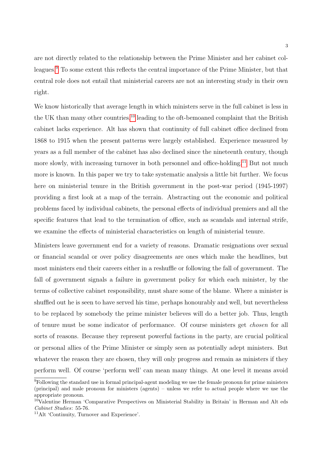are not directly related to the relationship between the Prime Minister and her cabinet colleagues.[9](#page-3-0) To some extent this reflects the central importance of the Prime Minister, but that central role does not entail that ministerial careers are not an interesting study in their own right.

We know historically that average length in which ministers serve in the full cabinet is less in the UK than many other countries,<sup>[10](#page-3-1)</sup> leading to the oft-bemoaned complaint that the British cabinet lacks experience. Alt has shown that continuity of full cabinet office declined from 1868 to 1915 when the present patterns were largely established. Experience measured by years as a full member of the cabinet has also declined since the nineteenth century, though more slowly, with increasing turnover in both personnel and office-holding.<sup>[11](#page-3-2)</sup> But not much more is known. In this paper we try to take systematic analysis a little bit further. We focus here on ministerial tenure in the British government in the post-war period (1945-1997) providing a first look at a map of the terrain. Abstracting out the economic and political problems faced by individual cabinets, the personal effects of individual premiers and all the specific features that lead to the termination of office, such as scandals and internal strife, we examine the effects of ministerial characteristics on length of ministerial tenure.

Ministers leave government end for a variety of reasons. Dramatic resignations over sexual or financial scandal or over policy disagreements are ones which make the headlines, but most ministers end their careers either in a reshuffle or following the fall of government. The fall of government signals a failure in government policy for which each minister, by the terms of collective cabinet responsibility, must share some of the blame. Where a minister is shuffled out he is seen to have served his time, perhaps honourably and well, but nevertheless to be replaced by somebody the prime minister believes will do a better job. Thus, length of tenure must be some indicator of performance. Of course ministers get chosen for all sorts of reasons. Because they represent powerful factions in the party, are crucial political or personal allies of the Prime Minister or simply seen as potentially adept ministers. But whatever the reason they are chosen, they will only progress and remain as ministers if they perform well. Of course 'perform well' can mean many things. At one level it means avoid

<span id="page-3-0"></span><sup>9</sup>Following the standard use in formal principal-agent modeling we use the female pronoun for prime ministers (principal) and male pronoun for ministers (agents) – unless we refer to actual people where we use the appropriate pronoun.

<span id="page-3-1"></span><sup>&</sup>lt;sup>10</sup>Valentine Herman 'Comparative Perspectives on Ministerial Stability in Britain' in Herman and Alt eds Cabinet Studies: 55-76.

<span id="page-3-2"></span><sup>11</sup>Alt 'Continuity, Turnover and Experience'.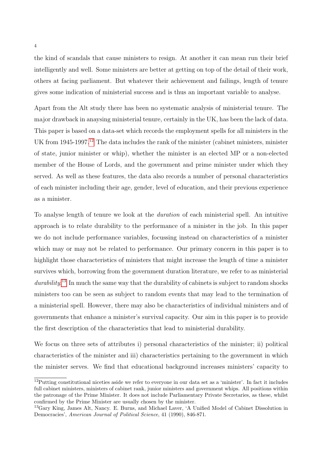the kind of scandals that cause ministers to resign. At another it can mean run their brief intelligently and well. Some ministers are better at getting on top of the detail of their work, others at facing parliament. But whatever their achievement and failings, length of tenure gives some indication of ministerial success and is thus an important variable to analyse.

Apart from the Alt study there has been no systematic analysis of ministerial tenure. The major drawback in anaysing ministerial tenure, certainly in the UK, has been the lack of data. This paper is based on a data-set which records the employment spells for all ministers in the UK from  $1945$ -1997.<sup>[12](#page-4-0)</sup> The data includes the rank of the minister (cabinet ministers, minister of state, junior minister or whip), whether the minister is an elected MP or a non-elected member of the House of Lords, and the government and prime minister under which they served. As well as these features, the data also records a number of personal characteristics of each minister including their age, gender, level of education, and their previous experience as a minister.

To analyse length of tenure we look at the duration of each ministerial spell. An intuitive approach is to relate durability to the performance of a minister in the job. In this paper we do not include performance variables, focussing instead on characteristics of a minister which may or may not be related to performance. Our primary concern in this paper is to highlight those characteristics of ministers that might increase the length of time a minister survives which, borrowing from the government duration literature, we refer to as ministerial durability.<sup>[13](#page-4-1)</sup> In much the same way that the durability of cabinets is subject to random shocks ministers too can be seen as subject to random events that may lead to the termination of a ministerial spell. However, there may also be characteristics of individual ministers and of governments that enhance a minister's survival capacity. Our aim in this paper is to provide the first description of the characteristics that lead to ministerial durability.

We focus on three sets of attributes i) personal characteristics of the minister; ii) political characteristics of the minister and iii) characteristics pertaining to the government in which the minister serves. We find that educational background increases ministers' capacity to

<span id="page-4-0"></span><sup>&</sup>lt;sup>12</sup>Putting constitutional niceties aside we refer to everyone in our data set as a 'minister'. In fact it includes full cabinet ministers, ministers of cabinet rank, junior ministers and government whips. All positions within the patronage of the Prime Minister. It does not include Parliamentary Private Secretaries, as these, whilst confirmed by the Prime Minister are usually chosen by the minister.

<span id="page-4-1"></span><sup>&</sup>lt;sup>13</sup>Gary King, James Alt, Nancy. E. Burns, and Michael Laver, 'A Unified Model of Cabinet Dissolution in Democracies', American Journal of Political Science, 41 (1990), 846-871.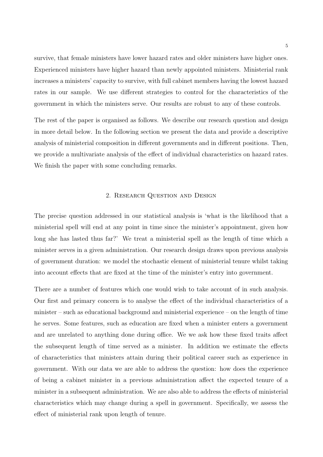survive, that female ministers have lower hazard rates and older ministers have higher ones. Experienced ministers have higher hazard than newly appointed ministers. Ministerial rank increases a ministers' capacity to survive, with full cabinet members having the lowest hazard rates in our sample. We use different strategies to control for the characteristics of the government in which the ministers serve. Our results are robust to any of these controls.

The rest of the paper is organised as follows. We describe our research question and design in more detail below. In the following section we present the data and provide a descriptive analysis of ministerial composition in different governments and in different positions. Then, we provide a multivariate analysis of the effect of individual characteristics on hazard rates. We finish the paper with some concluding remarks.

## 2. Research Question and Design

The precise question addressed in our statistical analysis is 'what is the likelihood that a ministerial spell will end at any point in time since the minister's appointment, given how long she has lasted thus far?' We treat a ministerial spell as the length of time which a minister serves in a given administration. Our research design draws upon previous analysis of government duration: we model the stochastic element of ministerial tenure whilst taking into account effects that are fixed at the time of the minister's entry into government.

There are a number of features which one would wish to take account of in such analysis. Our first and primary concern is to analyse the effect of the individual characteristics of a minister – such as educational background and ministerial experience – on the length of time he serves. Some features, such as education are fixed when a minister enters a government and are unrelated to anything done during office. We we ask how these fixed traits affect the subsequent length of time served as a minister. In addition we estimate the effects of characteristics that ministers attain during their political career such as experience in government. With our data we are able to address the question: how does the experience of being a cabinet minister in a previous administration affect the expected tenure of a minister in a subsequent administration. We are also able to address the effects of ministerial characteristics which may change during a spell in government. Specifically, we assess the effect of ministerial rank upon length of tenure.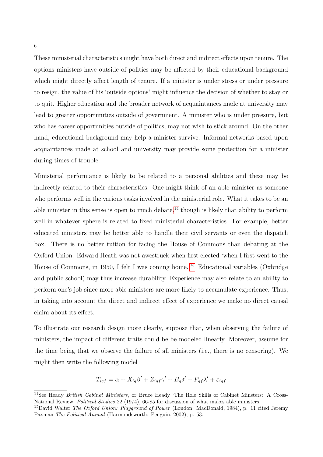These ministerial characteristics might have both direct and indirect effects upon tenure. The options ministers have outside of politics may be affected by their educational background which might directly affect length of tenure. If a minister is under stress or under pressure to resign, the value of his 'outside options' might influence the decision of whether to stay or to quit. Higher education and the broader network of acquaintances made at university may lead to greater opportunities outside of government. A minister who is under pressure, but who has career opportunities outside of politics, may not wish to stick around. On the other hand, educational background may help a minister survive. Informal networks based upon acquaintances made at school and university may provide some protection for a minister during times of trouble.

Ministerial performance is likely to be related to a personal abilities and these may be indirectly related to their characteristics. One might think of an able minister as someone who performs well in the various tasks involved in the ministerial role. What it takes to be an able minister in this sense is open to much debate, $14$  though is likely that ability to perform well in whatever sphere is related to fixed ministerial characteristics. For example, better educated ministers may be better able to handle their civil servants or even the dispatch box. There is no better tuition for facing the House of Commons than debating at the Oxford Union. Edward Heath was not awestruck when first elected 'when I first went to the House of Commons, in 1950, I felt I was coming home.'[15](#page-6-1) Educational variables (Oxbridge and public school) may thus increase durability. Experience may also relate to an ability to perform one's job since more able ministers are more likely to accumulate experience. Thus, in taking into account the direct and indirect effect of experience we make no direct causal claim about its effect.

To illustrate our research design more clearly, suppose that, when observing the failure of ministers, the impact of different traits could be be modeled linearly. Moreover, assume for the time being that we observe the failure of all ministers (i.e., there is no censoring). We might then write the following model

$$
T_{igf} = \alpha + X_{ig}\beta' + Z_{igf}\gamma' + B_g\delta' + P_{gf}\lambda' + \varepsilon_{igf}
$$

<span id="page-6-0"></span><sup>&</sup>lt;sup>14</sup>See Heady *British Cabinet Ministers*, or Bruce Heady 'The Role Skills of Cabinet Minsters: A Cross-National Review' *Political Studies* 22 (1974), 66-85 for discussion of what makes able ministers.

<span id="page-6-1"></span><sup>&</sup>lt;sup>15</sup>David Walter The Oxford Union: Playground of Power (London: MacDonald, 1984), p. 11 cited Jeremy Paxman The Political Animal (Harmondsworth: Penguin, 2002), p. 53.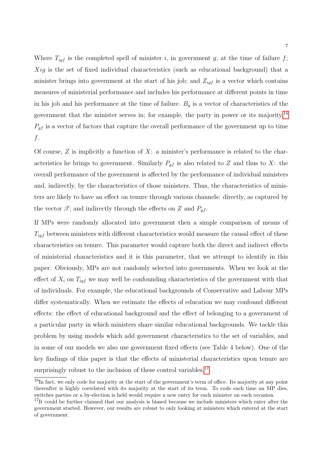Where  $T_{iqf}$  is the completed spell of minister i, in government g, at the time of failure f;  $Xig$  is the set of fixed individual characteristics (such as educational background) that a minister brings into government at the start of his job; and  $Z_{i\sigma f}$  is a vector which contains measures of ministerial performance and includes his performance at different points in time in his job and his performance at the time of failure.  $B<sub>q</sub>$  is a vector of characteristics of the government that the minister serves in; for example, the party in power or its majority.<sup>[16](#page-7-0)</sup>  $P_{gf}$  is a vector of factors that capture the overall performance of the government up to time f.

Of course,  $Z$  is implicitly a function of  $X$ : a minister's performance is related to the characteristics he brings to government. Similarly  $P_{gf}$  is also related to Z and thus to X: the overall performance of the government is affected by the performance of individual ministers and, indirectly, by the characteristics of those ministers. Thus, the characteristics of ministers are likely to have an effect on tenure through various channels: directly, as captured by the vector  $\beta'$ ; and indirectly through the effects on Z and  $P_{gf}$ .

If MPs were randomly allocated into government then a simple comparison of means of  $T_{\text{inf}}$  between ministers with different characteristics would measure the causal effect of these characteristics on tenure. This parameter would capture both the direct and indirect effects of ministerial characteristics and it is this parameter, that we attempt to identify in this paper. Obviously, MPs are not randomly selected into governments. When we look at the effect of  $X_i$  on  $T_{igf}$  we may well be confounding characteristics of the government with that of individuals. For example, the educational backgrounds of Conservative and Labour MPs differ systematically. When we estimate the effects of education we may confound different effects: the effect of educational background and the effect of belonging to a government of a particular party in which ministers share similar educational backgrounds. We tackle this problem by using models which add government characteristics to the set of variables, and in some of our models we also use government fixed effects (see Table 4 below). One of the key findings of this paper is that the effects of ministerial characteristics upon tenure are surprisingly robust to the inclusion of these control variables.<sup>[17](#page-7-1)</sup>

<span id="page-7-0"></span><sup>&</sup>lt;sup>16</sup>In fact, we only code for majority at the start of the government's term of office. Its majority at any point thereafter is highly correlated with its majority at the start of its term. To code each time an MP dies, switches parties or a by-election is held would require a new entry for each minister on each occasion.

<span id="page-7-1"></span> $17$ It could be further claimed that our analysis is biased because we include ministers which enter after the government started. However, our results are robust to only looking at ministers which entered at the start of government.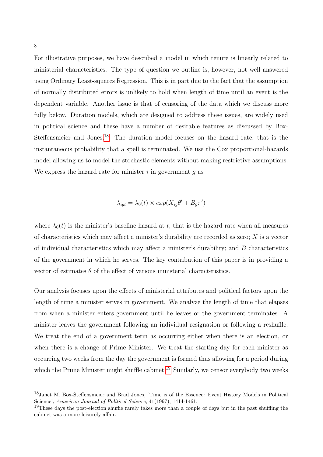For illustrative purposes, we have described a model in which tenure is linearly related to ministerial characteristics. The type of question we outline is, however, not well answered using Ordinary Least-squares Regression. This is in part due to the fact that the assumption of normally distributed errors is unlikely to hold when length of time until an event is the dependent variable. Another issue is that of censoring of the data which we discuss more fully below. Duration models, which are designed to address these issues, are widely used in political science and these have a number of desirable features as discussed by Box-Steffensmeier and Jones.<sup>[18](#page-8-0)</sup> The duration model focuses on the hazard rate, that is the instantaneous probability that a spell is terminated. We use the Cox proportional-hazards model allowing us to model the stochastic elements without making restrictive assumptions. We express the hazard rate for minister  $i$  in government  $q$  as

$$
\lambda_{igt} = \lambda_0(t) \times exp(X_{ig}\theta' + B_g\pi')
$$

where  $\lambda_0(t)$  is the minister's baseline hazard at t, that is the hazard rate when all measures of characteristics which may affect a minister's durability are recorded as zero;  $X$  is a vector of individual characteristics which may affect a minister's durability; and  $B$  characteristics of the government in which he serves. The key contribution of this paper is in providing a vector of estimates  $\theta$  of the effect of various ministerial characteristics.

Our analysis focuses upon the effects of ministerial attributes and political factors upon the length of time a minister serves in government. We analyze the length of time that elapses from when a minister enters government until he leaves or the government terminates. A minister leaves the government following an individual resignation or following a reshuffle. We treat the end of a government term as occurring either when there is an election, or when there is a change of Prime Minister. We treat the starting day for each minister as occurring two weeks from the day the government is formed thus allowing for a period during which the Prime Minister might shuffle cabinet.<sup>[19](#page-8-1)</sup> Similarly, we censor everybody two weeks

<span id="page-8-0"></span><sup>18</sup>Janet M. Box-Steffensmeier and Brad Jones, 'Time is of the Essence: Event History Models in Political Science', American Journal of Political Science, 41(1997), 1414-1461.

<span id="page-8-1"></span><sup>&</sup>lt;sup>19</sup>These days the post-election shuffle rarely takes more than a couple of days but in the past shuffling the cabinet was a more leisurely affair.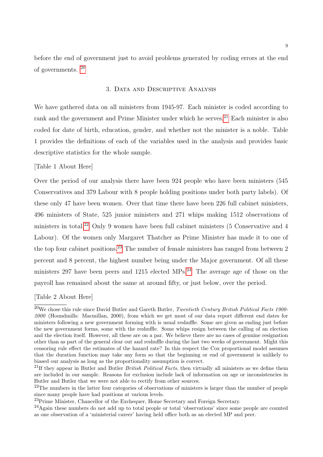before the end of government just to avoid problems generated by coding errors at the end of governments. [20](#page-9-0)

#### 3. Data and Descriptive Analysis

We have gathered data on all ministers from 1945-97. Each minister is coded according to rank and the government and Prime Minister under which he serves.<sup>[21](#page-9-1)</sup> Each minister is also coded for date of birth, education, gender, and whether not the minister is a noble. Table 1 provides the definitions of each of the variables used in the analysis and provides basic descriptive statistics for the whole sample.

#### [Table 1 About Here]

Over the period of our analysis there have been 924 people who have been ministers (545 Conservatives and 379 Labour with 8 people holding positions under both party labels). Of these only 47 have been women. Over that time there have been 226 full cabinet ministers, 496 ministers of State, 525 junior ministers and 271 whips making 1512 observations of ministers in total.<sup>[22](#page-9-2)</sup> Only 9 women have been full cabinet ministers  $(5 \text{ Conservative and } 4$ Labour). Of the women only Margaret Thatcher as Prime Minister has made it to one of the top four cabinet positions.<sup>[23](#page-9-3)</sup> The number of female ministers has ranged from between 2 percent and 8 percent, the highest number being under the Major government. Of all these ministers 297 have been peers and  $1215$  elected MPs.<sup>[24](#page-9-4)</sup> The average age of those on the payroll has remained about the same at around fifty, or just below, over the period.

### [Table 2 About Here]

<span id="page-9-0"></span> $^{20}$ We chose this rule since David Butler and Gareth Butler, Twentieth Century British Political Facts 1900-2000 (Houndmills: Macmillan, 2000), from which we get most of our data report different end dates for ministers following a new government forming with is usual reshuffle. Some are given as ending just before the new government forms, some with the reshuffle. Some whips resign between the calling of an election and the election itself. However, all these are on a par. We believe there are no cases of genuine resignation other than as part of the general clear out and reshuffle during the last two weeks of government. Might this censoring rule effect the estimates of the hazard rate? In this respect the Cox proportional model assumes that the duration function may take any form so that the beginning or end of government is unlikely to biased our analysis as long as the proportionality assumption is correct.

<span id="page-9-1"></span><sup>&</sup>lt;sup>21</sup>If they appear in Butler and Butler *British Political Facts*, then virtually all ministers as we define them are included in our sample. Reasons for exclusion include lack of information on age or inconsistencies in Butler and Butler that we were not able to rectify from other sources.

<span id="page-9-2"></span> $^{22}$ The numbers in the latter four categories of observations of ministers is larger than the number of people since many people have had positions at various levels.

<span id="page-9-3"></span><sup>&</sup>lt;sup>23</sup>Prime Minister, Chancellor of the Exchequer, Home Secretary and Foreign Secretary.

<span id="page-9-4"></span><sup>24</sup>Again these numbers do not add up to total people or total 'observations' since some people are counted as one observation of a 'ministerial career' having held office both as an elected MP and peer.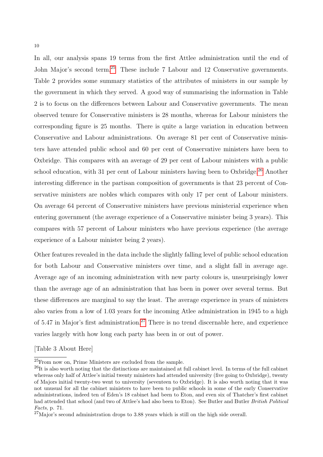In all, our analysis spans 19 terms from the first Attlee administration until the end of John Major's second term.<sup>[25](#page-10-0)</sup> These include 7 Labour and 12 Conservative governments. Table 2 provides some summary statistics of the attributes of ministers in our sample by the government in which they served. A good way of summarising the information in Table 2 is to focus on the differences between Labour and Conservative governments. The mean observed tenure for Conservative ministers is 28 months, whereas for Labour ministers the corresponding figure is 25 months. There is quite a large variation in education between Conservative and Labour administrations. On average 81 per cent of Conservative ministers have attended public school and 60 per cent of Conservative ministers have been to Oxbridge. This compares with an average of 29 per cent of Labour ministers with a public school education, with 31 per cent of Labour ministers having been to Oxbridge.<sup>[26](#page-10-1)</sup> Another interesting difference in the partisan composition of governments is that 23 percent of Conservative ministers are nobles which compares with only 17 per cent of Labour ministers. On average 64 percent of Conservative ministers have previous ministerial experience when entering government (the average experience of a Conservative minister being 3 years). This compares with 57 percent of Labour ministers who have previous experience (the average experience of a Labour minister being 2 years).

Other features revealed in the data include the slightly falling level of public school education for both Labour and Conservative ministers over time, and a slight fall in average age. Average age of an incoming administration with new party colours is, unsurprisingly lower than the average age of an administration that has been in power over several terms. But these differences are marginal to say the least. The average experience in years of ministers also varies from a low of 1.03 years for the incoming Atlee administration in 1945 to a high of 5.47 in Major's first administration.<sup>[27](#page-10-2)</sup> There is no trend discernable here, and experience varies largely with how long each party has been in or out of power.

[Table 3 About Here]

<span id="page-10-0"></span><sup>25</sup>From now on, Prime Ministers are excluded from the sample.

<span id="page-10-1"></span> $^{26}$ It is also worth noting that the distinctions are maintained at full cabinet level. In terms of the full cabinet whereas only half of Attlee's initial twenty ministers had attended university (five going to Oxbridge), twenty of Majors initial twenty-two went to university (seventeen to Oxbridge). It is also worth noting that it was not unusual for all the cabinet ministers to have been to public schools in some of the early Conservative administrations, indeed ten of Eden's 18 cabinet had been to Eton, and even six of Thatcher's first cabinet had attended that school (and two of Attlee's had also been to Eton). See Butler and Butler British Political Facts, p. 71.

<span id="page-10-2"></span> $^{27}$ Major's second administration drops to 3.88 years which is still on the high side overall.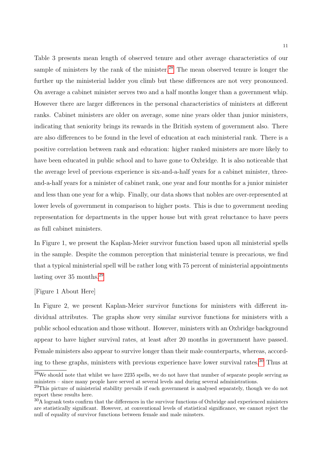Table 3 presents mean length of observed tenure and other average characteristics of our sample of ministers by the rank of the minister.<sup>[28](#page-11-0)</sup> The mean observed tenure is longer the further up the ministerial ladder you climb but these differences are not very pronounced. On average a cabinet minister serves two and a half months longer than a government whip. However there are larger differences in the personal characteristics of ministers at different ranks. Cabinet ministers are older on average, some nine years older than junior ministers, indicating that seniority brings its rewards in the British system of government also. There are also differences to be found in the level of education at each ministerial rank. There is a positive correlation between rank and education: higher ranked ministers are more likely to have been educated in public school and to have gone to Oxbridge. It is also noticeable that the average level of previous experience is six-and-a-half years for a cabinet minister, threeand-a-half years for a minister of cabinet rank, one year and four months for a junior minister and less than one year for a whip. Finally, our data shows that nobles are over-represented at lower levels of government in comparison to higher posts. This is due to government needing representation for departments in the upper house but with great reluctance to have peers as full cabinet ministers.

In Figure 1, we present the Kaplan-Meier survivor function based upon all ministerial spells in the sample. Despite the common perception that ministerial tenure is precarious, we find that a typical ministerial spell will be rather long with 75 percent of ministerial appointments lasting over  $35$  months.<sup>[29](#page-11-1)</sup>

#### [Figure 1 About Here]

In Figure 2, we present Kaplan-Meier survivor functions for ministers with different individual attributes. The graphs show very similar survivor functions for ministers with a public school education and those without. However, ministers with an Oxbridge background appear to have higher survival rates, at least after 20 months in government have passed. Female ministers also appear to survive longer than their male counterparts, whereas, according to these graphs, ministers with previous experience have lower survival rates.[30](#page-11-2) Thus at

<span id="page-11-0"></span> $^{28}$ We should note that whilst we have 2235 spells, we do not have that number of separate people serving as ministers – since many people have served at several levels and during several administrations.

<span id="page-11-1"></span><sup>&</sup>lt;sup>29</sup>This picture of ministerial stability prevails if each government is analysed separately, though we do not report these results here.

<span id="page-11-2"></span> $30A$  logrank tests confirm that the differences in the survivor functions of Oxbridge and experienced ministers are statistically significant. However, at conventional levels of statistical significance, we cannot reject the null of equality of survivor functions between female and male minsters.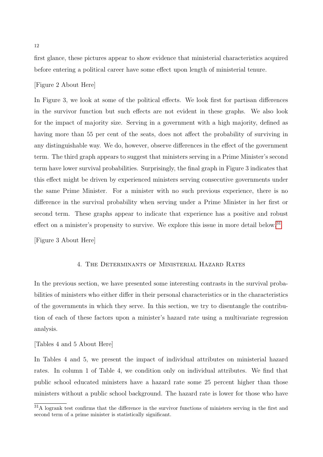first glance, these pictures appear to show evidence that ministerial characteristics acquired before entering a political career have some effect upon length of ministerial tenure.

[Figure 2 About Here]

In Figure 3, we look at some of the political effects. We look first for partisan differences in the survivor function but such effects are not evident in these graphs. We also look for the impact of majority size. Serving in a government with a high majority, defined as having more than 55 per cent of the seats, does not affect the probability of surviving in any distinguishable way. We do, however, observe differences in the effect of the government term. The third graph appears to suggest that ministers serving in a Prime Minister's second term have lower survival probabilities. Surprisingly, the final graph in Figure 3 indicates that this effect might be driven by experienced ministers serving consecutive governments under the same Prime Minister. For a minister with no such previous experience, there is no difference in the survival probability when serving under a Prime Minister in her first or second term. These graphs appear to indicate that experience has a positive and robust effect on a minister's propensity to survive. We explore this issue in more detail below.<sup>[31](#page-12-0)</sup>

[Figure 3 About Here]

#### 4. The Determinants of Ministerial Hazard Rates

In the previous section, we have presented some interesting contrasts in the survival probabilities of ministers who either differ in their personal characteristics or in the characteristics of the governments in which they serve. In this section, we try to disentangle the contribution of each of these factors upon a minister's hazard rate using a multivariate regression analysis.

#### [Tables 4 and 5 About Here]

In Tables 4 and 5, we present the impact of individual attributes on ministerial hazard rates. In column 1 of Table 4, we condition only on individual attributes. We find that public school educated ministers have a hazard rate some 25 percent higher than those ministers without a public school background. The hazard rate is lower for those who have

<span id="page-12-0"></span> $31$ A logrank test confirms that the difference in the survivor functions of ministers serving in the first and second term of a prime minister is statistically significant.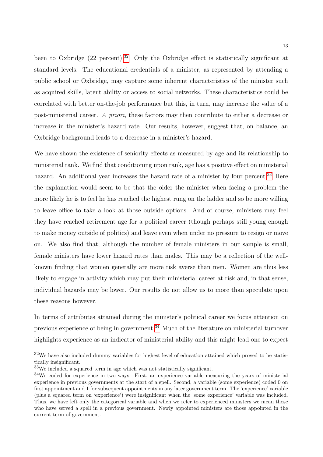been to Oxbridge  $(22 \text{ percent})$ .<sup>[32](#page-13-0)</sup> Only the Oxbridge effect is statistically significant at standard levels. The educational credentials of a minister, as represented by attending a public school or Oxbridge, may capture some inherent characteristics of the minister such as acquired skills, latent ability or access to social networks. These characteristics could be correlated with better on-the-job performance but this, in turn, may increase the value of a post-ministerial career. A priori, these factors may then contribute to either a decrease or increase in the minister's hazard rate. Our results, however, suggest that, on balance, an Oxbridge background leads to a decrease in a minister's hazard.

We have shown the existence of seniority effects as measured by age and its relationship to ministerial rank. We find that conditioning upon rank, age has a positive effect on ministerial hazard. An additional year increases the hazard rate of a minister by four percent.<sup>[33](#page-13-1)</sup> Here the explanation would seem to be that the older the minister when facing a problem the more likely he is to feel he has reached the highest rung on the ladder and so be more willing to leave office to take a look at those outside options. And of course, ministers may feel they have reached retirement age for a political career (though perhaps still young enough to make money outside of politics) and leave even when under no pressure to resign or move on. We also find that, although the number of female ministers in our sample is small, female ministers have lower hazard rates than males. This may be a reflection of the wellknown finding that women generally are more risk averse than men. Women are thus less likely to engage in activity which may put their ministerial career at risk and, in that sense, individual hazards may be lower. Our results do not allow us to more than speculate upon these reasons however.

In terms of attributes attained during the minister's political career we focus attention on previous experience of being in government.[34](#page-13-2) Much of the literature on ministerial turnover highlights experience as an indicator of ministerial ability and this might lead one to expect

<span id="page-13-0"></span><sup>32</sup>We have also included dummy variables for highest level of education attained which proved to be statistically insignificant.

<span id="page-13-1"></span> $33$ We included a squared term in age which was not statistically significant.

<span id="page-13-2"></span><sup>&</sup>lt;sup>34</sup>We coded for experience in two ways. First, an experience variable measuring the years of ministerial experience in previous governments at the start of a spell. Second, a variable (some experience) coded 0 on first appointment and 1 for subsequent appointments in any later government term. The 'experience' variable (plus a squared term on 'experience') were insignificant when the 'some experience' variable was included. Thus, we have left only the categorical variable and when we refer to experienced ministers we mean those who have served a spell in a previous government. Newly appointed ministers are those appointed in the current term of government.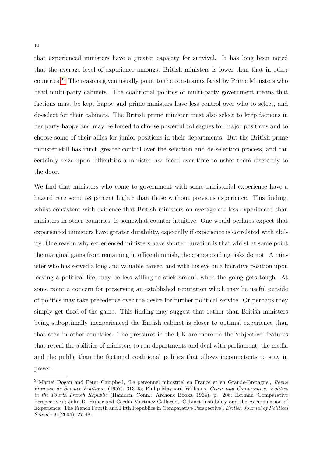that experienced ministers have a greater capacity for survival. It has long been noted that the average level of experience amongst British ministers is lower than that in other countries.[35](#page-14-0) The reasons given usually point to the constraints faced by Prime Ministers who head multi-party cabinets. The coalitional politics of multi-party government means that factions must be kept happy and prime ministers have less control over who to select, and de-select for their cabinets. The British prime minister must also select to keep factions in her party happy and may be forced to choose powerful colleagues for major positions and to choose some of their allies for junior positions in their departments. But the British prime minister still has much greater control over the selection and de-selection process, and can certainly seize upon difficulties a minister has faced over time to usher them discreetly to the door.

We find that ministers who come to government with some ministerial experience have a hazard rate some 58 percent higher than those without previous experience. This finding, whilst consistent with evidence that British ministers on average are less experienced than ministers in other countries, is somewhat counter-intuitive. One would perhaps expect that experienced ministers have greater durability, especially if experience is correlated with ability. One reason why experienced ministers have shorter duration is that whilst at some point the marginal gains from remaining in office diminish, the corresponding risks do not. A minister who has served a long and valuable career, and with his eye on a lucrative position upon leaving a political life, may be less willing to stick around when the going gets tough. At some point a concern for preserving an established reputation which may be useful outside of politics may take precedence over the desire for further political service. Or perhaps they simply get tired of the game. This finding may suggest that rather than British ministers being suboptimally inexperienced the British cabinet is closer to optimal experience than that seen in other countries. The pressures in the UK are more on the 'objective' features that reveal the abilities of ministers to run departments and deal with parliament, the media and the public than the factional coalitional politics that allows incompetents to stay in power.

<span id="page-14-0"></span><sup>35</sup>Mattei Dogan and Peter Campbell, 'Le personnel ministriel en France et en Grande-Bretagne', Revue Franaise de Science Politique, (1957), 313-45; Philip Maynard Williams, Crisis and Compromise: Politics in the Fourth French Republic (Hamden, Conn.: Archone Books, 1964), p. 206; Herman 'Comparative Perspectives'; John D. Huber and Cecilia Martinez-Gallardo, 'Cabinet Instability and the Accumulation of Experience: The French Fourth and Fifth Republics in Comparative Perspective', British Journal of Political Science 34(2004), 27-48.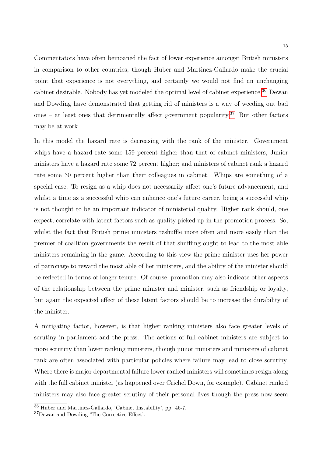Commentators have often bemoaned the fact of lower experience amongst British ministers in comparison to other countries, though Huber and Martinez-Gallardo make the crucial point that experience is not everything, and certainly we would not find an unchanging cabinet desirable. Nobody has yet modeled the optimal level of cabinet experience.<sup>[36](#page-15-0)</sup> Dewan and Dowding have demonstrated that getting rid of ministers is a way of weeding out bad ones – at least ones that detrimentally affect government popularity.<sup>[37](#page-15-1)</sup> But other factors may be at work.

In this model the hazard rate is decreasing with the rank of the minister. Government whips have a hazard rate some 159 percent higher than that of cabinet ministers; Junior ministers have a hazard rate some 72 percent higher; and ministers of cabinet rank a hazard rate some 30 percent higher than their colleagues in cabinet. Whips are something of a special case. To resign as a whip does not necessarily affect one's future advancement, and whilst a time as a successful whip can enhance one's future career, being a successful whip is not thought to be an important indicator of ministerial quality. Higher rank should, one expect, correlate with latent factors such as quality picked up in the promotion process. So, whilst the fact that British prime ministers reshuffle more often and more easily than the premier of coalition governments the result of that shuffling ought to lead to the most able ministers remaining in the game. According to this view the prime minister uses her power of patronage to reward the most able of her ministers, and the ability of the minister should be reflected in terms of longer tenure. Of course, promotion may also indicate other aspects of the relationship between the prime minister and minister, such as friendship or loyalty, but again the expected effect of these latent factors should be to increase the durability of the minister.

A mitigating factor, however, is that higher ranking ministers also face greater levels of scrutiny in parliament and the press. The actions of full cabinet ministers are subject to more scrutiny than lower ranking ministers, though junior ministers and ministers of cabinet rank are often associated with particular policies where failure may lead to close scrutiny. Where there is major departmental failure lower ranked ministers will sometimes resign along with the full cabinet minister (as happened over Crichel Down, for example). Cabinet ranked ministers may also face greater scrutiny of their personal lives though the press now seem

<span id="page-15-0"></span><sup>36</sup> Huber and Martinez-Gallardo, 'Cabinet Instability', pp. 46-7.

<span id="page-15-1"></span><sup>37</sup>Dewan and Dowding 'The Corrective Effect'.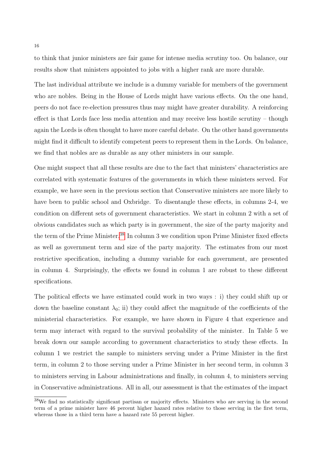to think that junior ministers are fair game for intense media scrutiny too. On balance, our results show that ministers appointed to jobs with a higher rank are more durable.

The last individual attribute we include is a dummy variable for members of the government who are nobles. Being in the House of Lords might have various effects. On the one hand, peers do not face re-election pressures thus may might have greater durability. A reinforcing effect is that Lords face less media attention and may receive less hostile scrutiny – though again the Lords is often thought to have more careful debate. On the other hand governments might find it difficult to identify competent peers to represent them in the Lords. On balance, we find that nobles are as durable as any other ministers in our sample.

One might suspect that all these results are due to the fact that ministers' characteristics are correlated with systematic features of the governments in which these ministers served. For example, we have seen in the previous section that Conservative ministers are more likely to have been to public school and Oxbridge. To disentangle these effects, in columns 2-4, we condition on different sets of government characteristics. We start in column 2 with a set of obvious candidates such as which party is in government, the size of the party majority and the term of the Prime Minister.<sup>[38](#page-16-0)</sup> In column 3 we condition upon Prime Minister fixed effects as well as government term and size of the party majority. The estimates from our most restrictive specification, including a dummy variable for each government, are presented in column 4. Surprisingly, the effects we found in column 1 are robust to these different specifications.

The political effects we have estimated could work in two ways : i) they could shift up or down the baseline constant  $\lambda_0$ ; ii) they could affect the magnitude of the coefficients of the ministerial characteristics. For example, we have shown in Figure 4 that experience and term may interact with regard to the survival probability of the minister. In Table 5 we break down our sample according to government characteristics to study these effects. In column 1 we restrict the sample to ministers serving under a Prime Minister in the first term, in column 2 to those serving under a Prime Minister in her second term, in column 3 to ministers serving in Labour administrations and finally, in column 4, to ministers serving in Conservative administrations. All in all, our assessment is that the estimates of the impact

<span id="page-16-0"></span><sup>38</sup>We find no statistically significant partisan or majority effects. Ministers who are serving in the second term of a prime minister have 46 percent higher hazard rates relative to those serving in the first term, whereas those in a third term have a hazard rate 55 percent higher.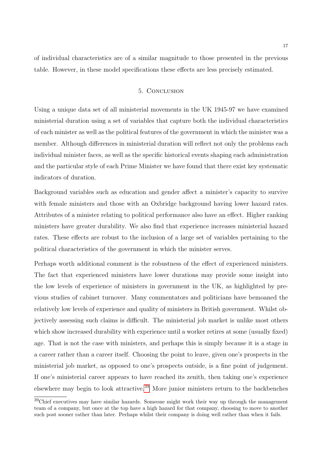of individual characteristics are of a similar magnitude to those presented in the previous table. However, in these model specifications these effects are less precisely estimated.

## 5. Conclusion

Using a unique data set of all ministerial movements in the UK 1945-97 we have examined ministerial duration using a set of variables that capture both the individual characteristics of each minister as well as the political features of the government in which the minister was a member. Although differences in ministerial duration will reflect not only the problems each individual minister faces, as well as the specific historical events shaping each administration and the particular style of each Prime Minister we have found that there exist key systematic indicators of duration.

Background variables such as education and gender affect a minister's capacity to survive with female ministers and those with an Oxbridge background having lower hazard rates. Attributes of a minister relating to political performance also have an effect. Higher ranking ministers have greater durability. We also find that experience increases ministerial hazard rates. These effects are robust to the inclusion of a large set of variables pertaining to the political characteristics of the government in which the minister serves.

Perhaps worth additional comment is the robustness of the effect of experienced ministers. The fact that experienced ministers have lower durations may provide some insight into the low levels of experience of ministers in government in the UK, as highlighted by previous studies of cabinet turnover. Many commentators and politicians have bemoaned the relatively low levels of experience and quality of ministers in British government. Whilst objectively assessing such claims is difficult. The ministerial job market is unlike most others which show increased durability with experience until a worker retires at some (usually fixed) age. That is not the case with ministers, and perhaps this is simply because it is a stage in a career rather than a career itself. Choosing the point to leave, given one's prospects in the ministerial job market, as opposed to one's prospects outside, is a fine point of judgement. If one's ministerial career appears to have reached its zenith, then taking one's experience elsewhere may begin to look attractive.<sup>[39](#page-17-0)</sup> More junior ministers return to the backbenches

<span id="page-17-0"></span> $39$ Chief executives may have similar hazards. Someone might work their way up through the management team of a company, but once at the top have a high hazard for that company, choosing to move to another such post sooner rather than later. Perhaps whilst their company is doing well rather than when it fails.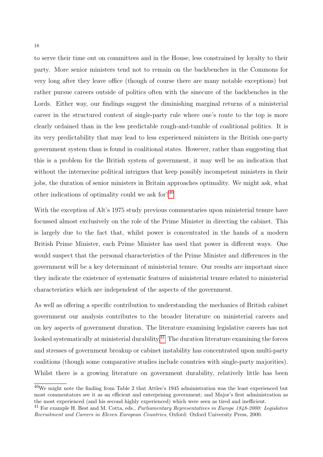to serve their time out on committees and in the House, less constrained by loyalty to their party. More senior ministers tend not to remain on the backbenches in the Commons for very long after they leave office (though of course there are many notable exceptions) but rather pursue careers outside of politics often with the sinecure of the backbenches in the Lords. Either way, our findings suggest the diminishing marginal returns of a ministerial career in the structured context of single-party rule where one's route to the top is more clearly ordained than in the less predictable rough-and-tumble of coalitional politics. It is its very predictability that may lead to less experienced ministers in the British one-party government system than is found in coalitional states. However, rather than suggesting that this is a problem for the British system of government, it may well be an indication that without the internecine political intrigues that keep possibly incompetent ministers in their jobs, the duration of senior ministers in Britain approaches optimality. We might ask, what other indications of optimality could we ask for?[40](#page-18-0)

With the exception of Alt's 1975 study previous commentaries upon ministerial tenure have focussed almost exclusively on the role of the Prime Minister in directing the cabinet. This is largely due to the fact that, whilst power is concentrated in the hands of a modern British Prime Minister, each Prime Minister has used that power in different ways. One would suspect that the personal characteristics of the Prime Minister and differences in the government will be a key determinant of ministerial tenure. Our results are important since they indicate the existence of systematic features of ministerial tenure related to ministerial characteristics which are independent of the aspects of the government.

As well as offering a specific contribution to understanding the mechanics of British cabinet government our analysis contributes to the broader literature on ministerial careers and on key aspects of government duration. The literature examining legislative careers has not looked systematically at ministerial durability.<sup>[41](#page-18-1)</sup> The duration literature examining the forces and stresses of government breakup or cabinet instability has concentrated upon multi-party coalitions (though some comparative studies include countries with single-party majorities). Whilst there is a growing literature on government durability, relatively little has been

<span id="page-18-0"></span> $^{40}$ We might note the finding from Table 2 that Attlee's 1945 administration was the least experienced but most commentators see it as an efficient and enterprising government; and Major's first administration as the most experienced (and his second highly experienced) which were seen as tired and inefficient.

<span id="page-18-1"></span> $^{41}$  For example H. Best and M. Cotta, eds., *Parliamentary Representatives in Europe 1848-2000: Legislative* Recruitment and Careers in Eleven European Countries, Oxford: Oxford University Press, 2000.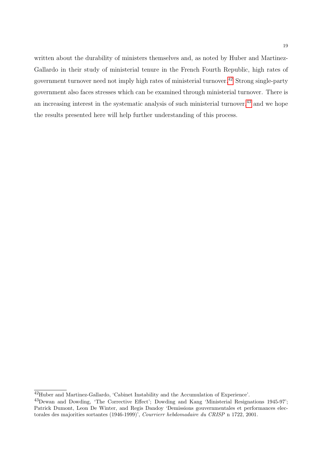written about the durability of ministers themselves and, as noted by Huber and Martinez-Gallardo in their study of ministerial tenure in the French Fourth Republic, high rates of government turnover need not imply high rates of ministerial turnover.[42](#page-19-0) Strong single-party government also faces stresses which can be examined through ministerial turnover. There is an increasing interest in the systematic analysis of such ministerial turnover, $43$  and we hope the results presented here will help further understanding of this process.

<span id="page-19-0"></span> $\overline{{}^{42}\text{Huber}}$  and Martinez-Gallardo, 'Cabinet Instability and the Accumulation of Experience'.

<span id="page-19-1"></span><sup>43</sup>Dewan and Dowding, 'The Corrective Effect'; Dowding and Kang 'Ministerial Resignations 1945-97'; Patrick Dumont, Leon De Winter, and Regis Dandoy 'Demissions gouvernmentales et performances electorales des majorities sortantes (1946-1999)', Courrierr hebdomadaire du CRISP n 1722, 2001.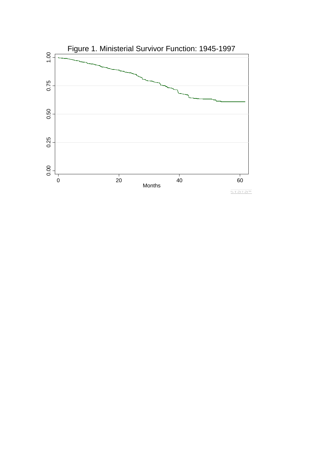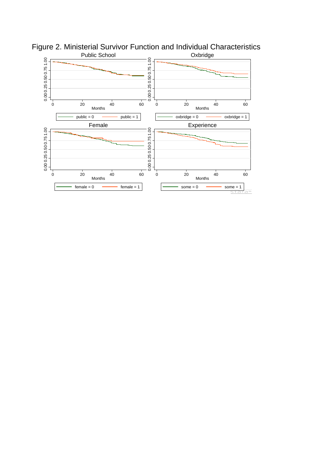

Figure 2. Ministerial Survivor Function and Individual Characteristics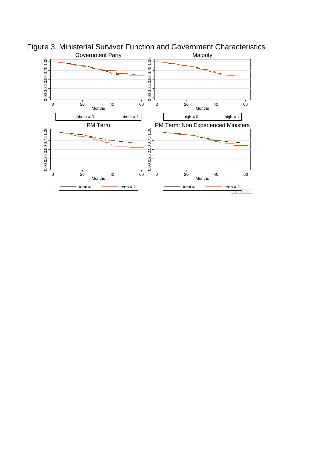

Figure 3. Ministerial Survivor Function and Government Characteristics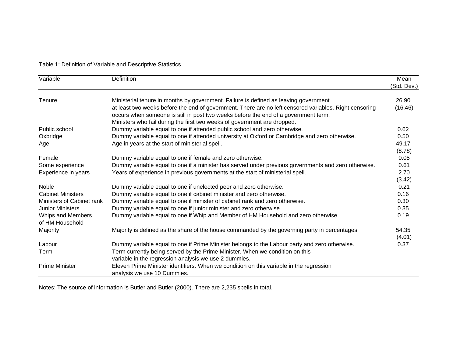Table 1: Definition of Variable and Descriptive Statistics

| Variable                             | Definition                                                                                                                                                                                                                                                                | Mean<br>(Std. Dev.) |
|--------------------------------------|---------------------------------------------------------------------------------------------------------------------------------------------------------------------------------------------------------------------------------------------------------------------------|---------------------|
| Tenure                               | Ministerial tenure in months by government. Failure is defined as leaving government                                                                                                                                                                                      | 26.90               |
|                                      | at least two weeks before the end of government. There are no left censored variables. Right censoring<br>occurs when someone is still in post two weeks before the end of a government term.<br>Ministers who fail during the first two weeks of government are dropped. | (16.46)             |
| Public school                        | Dummy variable equal to one if attended public school and zero otherwise.                                                                                                                                                                                                 | 0.62                |
| Oxbridge                             | Dummy variable equal to one if attended university at Oxford or Cambridge and zero otherwise.                                                                                                                                                                             | 0.50                |
| Age                                  | Age in years at the start of ministerial spell.                                                                                                                                                                                                                           | 49.17               |
|                                      |                                                                                                                                                                                                                                                                           | (8.78)              |
| Female                               | Dummy variable equal to one if female and zero otherwise.                                                                                                                                                                                                                 | 0.05                |
| Some experience                      | Dummy variable equal to one if a minister has served under previous governments and zero otherwise.                                                                                                                                                                       | 0.61                |
| Experience in years                  | Years of experience in previous governments at the start of ministerial spell.                                                                                                                                                                                            | 2.70                |
|                                      |                                                                                                                                                                                                                                                                           | (3.42)              |
| Noble                                | Dummy variable equal to one if unelected peer and zero otherwise.                                                                                                                                                                                                         | 0.21                |
| <b>Cabinet Ministers</b>             | Dummy variable equal to one if cabinet minister and zero otherwise.                                                                                                                                                                                                       | 0.16                |
| Ministers of Cabinet rank            | Dummy variable equal to one if minister of cabinet rank and zero otherwise.                                                                                                                                                                                               | 0.30                |
| <b>Junior Ministers</b>              | Dummy variable equal to one if junior minister and zero otherwise.                                                                                                                                                                                                        | 0.35                |
| Whips and Members<br>of HM Household | Dummy variable equal to one if Whip and Member of HM Household and zero otherwise.                                                                                                                                                                                        | 0.19                |
| Majority                             | Majority is defined as the share of the house commanded by the governing party in percentages.                                                                                                                                                                            | 54.35               |
|                                      |                                                                                                                                                                                                                                                                           | (4.01)              |
| Labour                               | Dummy variable equal to one if Prime Minister belongs to the Labour party and zero otherwise.                                                                                                                                                                             | 0.37                |
| Term                                 | Term currently being served by the Prime Minister. When we condition on this                                                                                                                                                                                              |                     |
|                                      | variable in the regression analysis we use 2 dummies.                                                                                                                                                                                                                     |                     |
| <b>Prime Minister</b>                | Eleven Prime Minister identifiers. When we condition on this variable in the regression<br>analysis we use 10 Dummies.                                                                                                                                                    |                     |

Notes: The source of information is Butler and Butler (2000). There are 2,235 spells in total.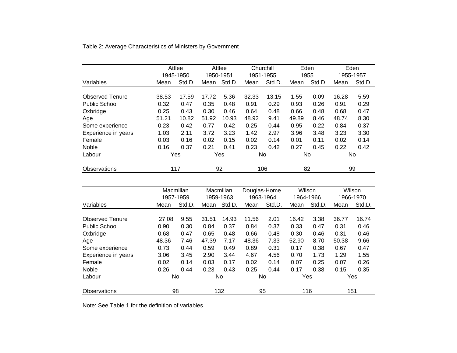Table 2: Average Characteristics of Ministers by Government

|                        | Attlee |           | Attlee |           | Churchill    |           | Eden   |           | Eden  |           |
|------------------------|--------|-----------|--------|-----------|--------------|-----------|--------|-----------|-------|-----------|
|                        |        | 1945-1950 |        | 1950-1951 |              | 1951-1955 |        | 1955      |       | 1955-1957 |
| Variables              | Mean   | Std.D.    | Mean   | Std.D.    | Mean         | Std.D.    | Mean   | Std.D.    | Mean  | Std.D.    |
|                        |        |           |        |           |              |           |        |           |       |           |
| <b>Observed Tenure</b> | 38.53  | 17.59     | 17.72  | 5.36      | 32.33        | 13.15     | 1.55   | 0.09      | 16.28 | 5.59      |
| <b>Public School</b>   | 0.32   | 0.47      | 0.35   | 0.48      | 0.91         | 0.29      | 0.93   | 0.26      | 0.91  | 0.29      |
| Oxbridge               | 0.25   | 0.43      | 0.30   | 0.46      | 0.64         | 0.48      | 0.66   | 0.48      | 0.68  | 0.47      |
| Age                    | 51.21  | 10.82     | 51.92  | 10.93     | 48.92        | 9.41      | 49.89  | 8.46      | 48.74 | 8.30      |
| Some experience        | 0.23   | 0.42      | 0.77   | 0.42      | 0.25         | 0.44      | 0.95   | 0.22      | 0.84  | 0.37      |
| Experience in years    | 1.03   | 2.11      | 3.72   | 3.23      | 1.42         | 2.97      | 3.96   | 3.48      | 3.23  | 3.30      |
| Female                 | 0.03   | 0.16      | 0.02   | 0.15      | 0.02         | 0.14      | 0.01   | 0.11      | 0.02  | 0.14      |
| Noble                  | 0.16   | 0.37      | 0.21   | 0.41      | 0.23         | 0.42      | 0.27   | 0.45      | 0.22  | 0.42      |
| Labour                 |        | Yes       |        | Yes       |              | No        |        | No        |       | No        |
|                        |        |           |        |           |              |           |        |           |       |           |
| Observations           |        | 117       |        | 92        |              | 106       |        | 82        |       | 99        |
|                        |        |           |        |           |              |           |        |           |       |           |
|                        |        |           |        |           |              |           |        |           |       |           |
|                        |        | Macmillan |        | Macmillan | Douglas-Home |           | Wilson |           |       | Wilson    |
|                        |        | 1957-1959 |        | 1959-1963 |              | 1963-1964 |        | 1964-1966 |       | 1966-1970 |
| Variables              | Mean   | Std.D.    | Mean   | Std.D.    | Mean         | Std.D.    | Mean   | Std.D.    | Mean  | Std.D.    |
|                        |        |           |        |           |              |           |        |           |       |           |
| <b>Observed Tenure</b> | 27.08  | 9.55      | 31.51  | 14.93     | 11.56        | 2.01      | 16.42  | 3.38      | 36.77 | 16.74     |
| <b>Public School</b>   | 0.90   | 0.30      | 0.84   | 0.37      | 0.84         | 0.37      | 0.33   | 0.47      | 0.31  | 0.46      |
| Oxbridge               | 0.68   | 0.47      | 0.65   | 0.48      | 0.66         | 0.48      | 0.30   | 0.46      | 0.31  | 0.46      |
| Age                    | 48.36  | 7.46      | 47.39  | 7.17      | 48.36        | 7.33      | 52.90  | 8.70      | 50.38 | 9.66      |
| Some experience        | 0.73   | 0.44      | 0.59   | 0.49      | 0.89         | 0.31      | 0.17   | 0.38      | 0.67  | 0.47      |
| Experience in years    | 3.06   | 3.45      | 2.90   | 3.44      | 4.67         | 4.56      | 0.70   | 1.73      | 1.29  | 1.55      |
| Female                 | 0.02   | 0.14      | 0.03   | 0.17      | 0.02         | 0.14      | 0.07   | 0.25      | 0.07  | 0.26      |
| Noble                  | 0.26   | 0.44      | 0.23   | 0.43      | 0.25         | 0.44      | 0.17   | 0.38      | 0.15  | 0.35      |
| Labour                 | No     |           | No     |           | No           |           | Yes    |           | Yes   |           |

98 132 95 116 151

151

Note: See Table 1 for the definition of variables.

Observations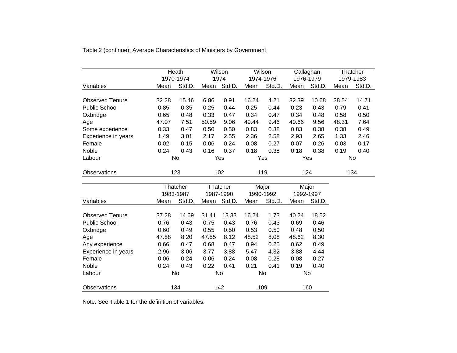|                        |       | Heath     |       | Wilson    |       | Wilson    |       | Callaghan |       | Thatcher  |
|------------------------|-------|-----------|-------|-----------|-------|-----------|-------|-----------|-------|-----------|
|                        |       | 1970-1974 |       | 1974      |       | 1974-1976 |       | 1976-1979 |       | 1979-1983 |
| Variables              | Mean  | Std.D.    | Mean  | Std.D.    | Mean  | Std.D.    | Mean  | Std.D.    | Mean  | Std.D.    |
|                        |       |           |       |           |       |           |       |           |       |           |
| <b>Observed Tenure</b> | 32.28 | 15.46     | 6.86  | 0.91      | 16.24 | 4.21      | 32.39 | 10.68     | 38.54 | 14.71     |
| <b>Public School</b>   | 0.85  | 0.35      | 0.25  | 0.44      | 0.25  | 0.44      | 0.23  | 0.43      | 0.79  | 0.41      |
| Oxbridge               | 0.65  | 0.48      | 0.33  | 0.47      | 0.34  | 0.47      | 0.34  | 0.48      | 0.58  | 0.50      |
| Age                    | 47.07 | 7.51      | 50.59 | 9.06      | 49.44 | 9.46      | 49.66 | 9.56      | 48.31 | 7.64      |
| Some experience        | 0.33  | 0.47      | 0.50  | 0.50      | 0.83  | 0.38      | 0.83  | 0.38      | 0.38  | 0.49      |
| Experience in years    | 1.49  | 3.01      | 2.17  | 2.55      | 2.36  | 2.58      | 2.93  | 2.65      | 1.33  | 2.46      |
| Female                 | 0.02  | 0.15      | 0.06  | 0.24      | 0.08  | 0.27      | 0.07  | 0.26      | 0.03  | 0.17      |
| Noble                  | 0.24  | 0.43      | 0.16  | 0.37      | 0.18  | 0.38      | 0.18  | 0.38      | 0.19  | 0.40      |
| Labour                 |       | No        |       | Yes       |       | Yes       |       | Yes       |       | No        |
|                        |       |           |       |           |       |           |       |           |       |           |
| Observations           |       | 123       |       | 102       |       | 119       |       | 124       |       | 134       |
|                        |       |           |       |           |       |           |       |           |       |           |
|                        |       | Thatcher  |       | Thatcher  |       | Major     |       | Major     |       |           |
|                        |       | 1983-1987 |       | 1987-1990 |       | 1990-1992 |       | 1992-1997 |       |           |
| Variables              | Mean  | Std.D.    | Mean  | Std.D.    | Mean  | Std.D.    | Mean  | Std.D.    |       |           |
|                        |       |           |       |           |       |           |       |           |       |           |
| <b>Observed Tenure</b> | 37.28 | 14.69     | 31.41 | 13.33     | 16.24 | 1.73      | 40.24 | 18.52     |       |           |
| <b>Public School</b>   | 0.76  | 0.43      | 0.75  | 0.43      | 0.76  | 0.43      | 0.69  | 0.46      |       |           |
| Oxbridge               | 0.60  | 0.49      | 0.55  | 0.50      | 0.53  | 0.50      | 0.48  | 0.50      |       |           |
| Age                    | 47.88 | 8.20      | 47.55 | 8.12      | 48.52 | 8.08      | 48.62 | 8.30      |       |           |
| Any experience         | 0.66  | 0.47      | 0.68  | 0.47      | 0.94  | 0.25      | 0.62  | 0.49      |       |           |
| Experience in years    | 2.96  | 3.06      | 3.77  | 3.88      | 5.47  | 4.32      | 3.88  | 4.44      |       |           |
| Female                 | 0.06  | 0.24      | 0.06  | 0.24      | 0.08  | 0.28      | 0.08  | 0.27      |       |           |
| Noble                  | 0.24  | 0.43      | 0.22  | 0.41      | 0.21  | 0.41      | 0.19  | 0.40      |       |           |
| Labour                 |       | No        |       | <b>No</b> |       | <b>No</b> |       | No        |       |           |
| <b>Observations</b>    |       | 134       |       | 142       |       | 109       |       | 160       |       |           |

Table 2 (continue): Average Characteristics of Ministers by Government

Note: See Table 1 for the definition of variables.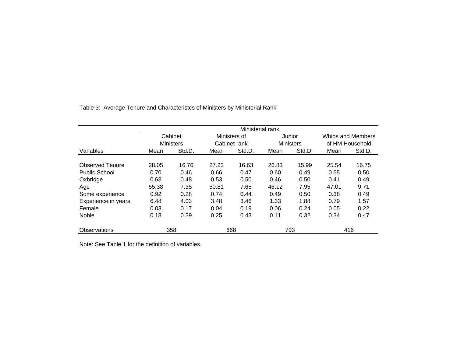|                        | Ministerial rank            |        |                              |        |                            |        |                                             |        |  |  |
|------------------------|-----------------------------|--------|------------------------------|--------|----------------------------|--------|---------------------------------------------|--------|--|--|
|                        | Cabinet<br><b>Ministers</b> |        | Ministers of<br>Cabinet rank |        | Junior<br><b>Ministers</b> |        | <b>Whips and Members</b><br>of HM Household |        |  |  |
|                        |                             |        |                              |        |                            |        |                                             |        |  |  |
| Variables              | Mean                        | Std.D. | Mean                         | Std.D. | Mean                       | Std.D. | Mean                                        | Std.D. |  |  |
|                        |                             |        |                              |        |                            |        |                                             |        |  |  |
| <b>Observed Tenure</b> | 28.05                       | 16.76  | 27.23                        | 16.63  | 26.83                      | 15.99  | 25.54                                       | 16.75  |  |  |
| <b>Public School</b>   | 0.70                        | 0.46   | 0.66                         | 0.47   | 0.60                       | 0.49   | 0.55                                        | 0.50   |  |  |
| Oxbridge               | 0.63                        | 0.48   | 0.53                         | 0.50   | 0.46                       | 0.50   | 0.41                                        | 0.49   |  |  |
| Age                    | 55.38                       | 7.35   | 50.81                        | 7.65   | 46.12                      | 7.95   | 47.01                                       | 9.71   |  |  |
| Some experience        | 0.92                        | 0.28   | 0.74                         | 0.44   | 0.49                       | 0.50   | 0.38                                        | 0.49   |  |  |
| Experience in years    | 6.48                        | 4.03   | 3.48                         | 3.46   | 1.33                       | 1.88   | 0.79                                        | 1.57   |  |  |
| Female                 | 0.03                        | 0.17   | 0.04                         | 0.19   | 0.06                       | 0.24   | 0.05                                        | 0.22   |  |  |
| <b>Noble</b>           | 0.18                        | 0.39   | 0.25                         | 0.43   | 0.11                       | 0.32   | 0.34                                        | 0.47   |  |  |
| Observations           | 358                         |        | 668                          |        | 793                        |        | 416                                         |        |  |  |

Table 3: Average Tenure and Characteristcs of Ministers by Ministerial Rank

Note: See Table 1 for the definition of variables.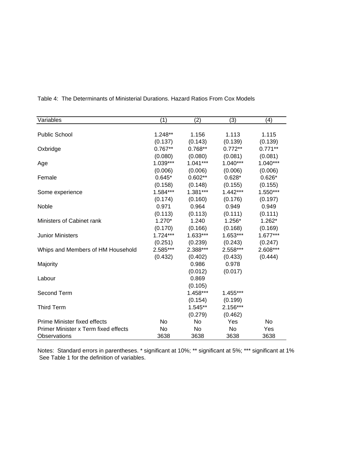| Variables                            | (1)        | (2)        | (3)        | (4)        |
|--------------------------------------|------------|------------|------------|------------|
|                                      |            |            |            |            |
| <b>Public School</b>                 | 1.248**    | 1.156      | 1.113      | 1.115      |
|                                      | (0.137)    | (0.143)    | (0.139)    | (0.139)    |
| Oxbridge                             | $0.767**$  | $0.768**$  | $0.772**$  | $0.771**$  |
|                                      | (0.080)    | (0.080)    | (0.081)    | (0.081)    |
| Age                                  | $1.039***$ | $1.041***$ | $1.040***$ | $1.040***$ |
|                                      | (0.006)    | (0.006)    | (0.006)    | (0.006)    |
| Female                               | $0.645*$   | $0.602**$  | $0.628*$   | $0.626*$   |
|                                      | (0.158)    | (0.148)    | (0.155)    | (0.155)    |
| Some experience                      | 1.584***   | $1.381***$ | $1.442***$ | 1.550***   |
|                                      | (0.174)    | (0.160)    | (0.176)    | (0.197)    |
| <b>Noble</b>                         | 0.971      | 0.964      | 0.949      | 0.949      |
|                                      | (0.113)    | (0.113)    | (0.111)    | (0.111)    |
| Ministers of Cabinet rank            | $1.270*$   | 1.240      | $1.256*$   | $1.262*$   |
|                                      | (0.170)    | (0.166)    | (0.168)    | (0.169)    |
| <b>Junior Ministers</b>              | $1.724***$ | 1.633***   | 1.653***   | 1.677***   |
|                                      | (0.251)    | (0.239)    | (0.243)    | (0.247)    |
| Whips and Members of HM Household    | 2.585***   | 2.388***   | 2.558***   | 2.608***   |
|                                      | (0.432)    | (0.402)    | (0.433)    | (0.444)    |
| Majority                             |            | 0.986      | 0.978      |            |
|                                      |            | (0.012)    | (0.017)    |            |
| Labour                               |            | 0.869      |            |            |
|                                      |            | (0.105)    |            |            |
| Second Term                          |            | 1.458***   | 1.455***   |            |
|                                      |            | (0.154)    | (0.199)    |            |
| <b>Third Term</b>                    |            | 1.545**    | 2.156***   |            |
|                                      |            | (0.279)    | (0.462)    |            |
| Prime Minister fixed effects         | No         | No         | Yes        | No         |
| Primer Minister x Term fixed effects | No         | No         | No         | Yes        |
| Observations                         | 3638       | 3638       | 3638       | 3638       |

Table 4: The Determinants of Ministerial Durations. Hazard Ratios From Cox Models

Notes: Standard errors in parentheses. \* significant at 10%; \*\* significant at 5%; \*\*\* significant at 1% See Table 1 for the definition of variables.